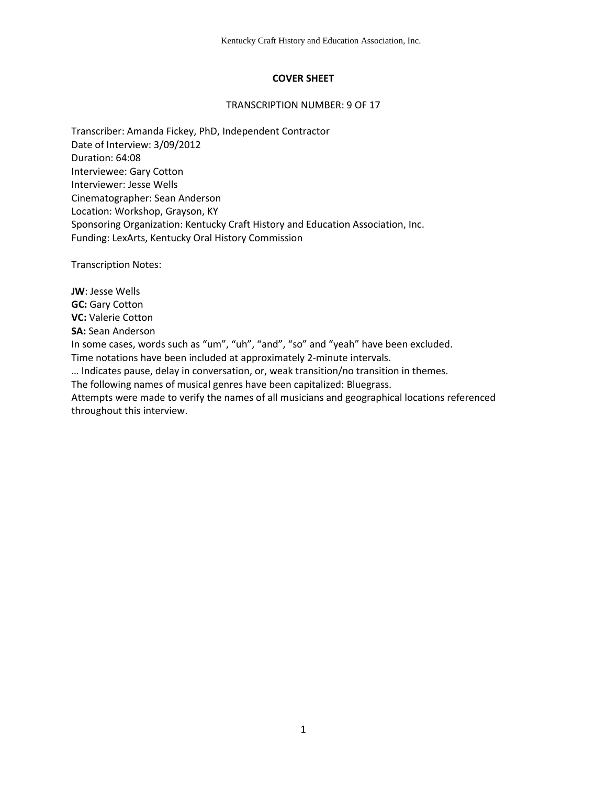## **COVER SHEET**

#### TRANSCRIPTION NUMBER: 9 OF 17

Transcriber: Amanda Fickey, PhD, Independent Contractor Date of Interview: 3/09/2012 Duration: 64:08 Interviewee: Gary Cotton Interviewer: Jesse Wells Cinematographer: Sean Anderson Location: Workshop, Grayson, KY Sponsoring Organization: Kentucky Craft History and Education Association, Inc. Funding: LexArts, Kentucky Oral History Commission

Transcription Notes:

throughout this interview.

**JW**: Jesse Wells **GC:** Gary Cotton **VC:** Valerie Cotton **SA:** Sean Anderson In some cases, words such as "um", "uh", "and", "so" and "yeah" have been excluded. Time notations have been included at approximately 2-minute intervals. … Indicates pause, delay in conversation, or, weak transition/no transition in themes. The following names of musical genres have been capitalized: Bluegrass. Attempts were made to verify the names of all musicians and geographical locations referenced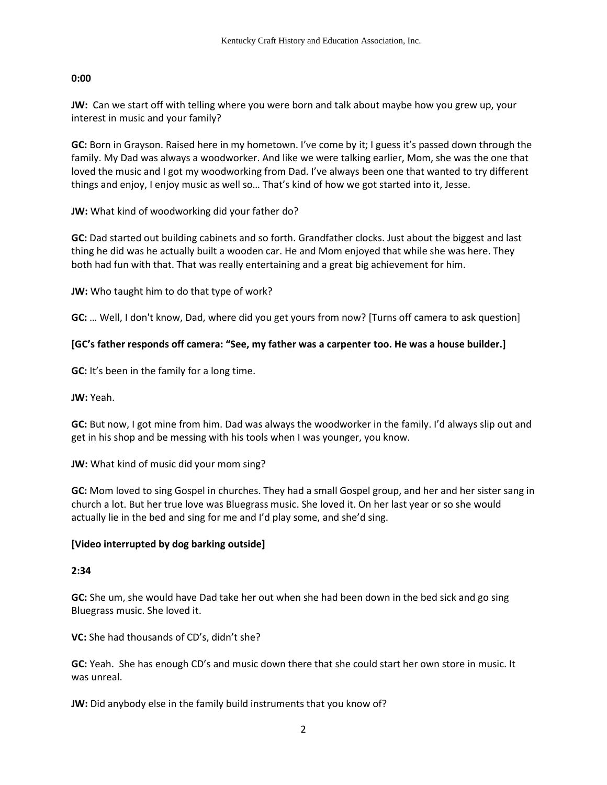**JW:** Can we start off with telling where you were born and talk about maybe how you grew up, your interest in music and your family?

**GC:** Born in Grayson. Raised here in my hometown. I've come by it; I guess it's passed down through the family. My Dad was always a woodworker. And like we were talking earlier, Mom, she was the one that loved the music and I got my woodworking from Dad. I've always been one that wanted to try different things and enjoy, I enjoy music as well so… That's kind of how we got started into it, Jesse.

**JW:** What kind of woodworking did your father do?

**GC:** Dad started out building cabinets and so forth. Grandfather clocks. Just about the biggest and last thing he did was he actually built a wooden car. He and Mom enjoyed that while she was here. They both had fun with that. That was really entertaining and a great big achievement for him.

**JW:** Who taught him to do that type of work?

**GC:** … Well, I don't know, Dad, where did you get yours from now? [Turns off camera to ask question]

## **[GC's father responds off camera: "See, my father was a carpenter too. He was a house builder.]**

**GC:** It's been in the family for a long time.

**JW:** Yeah.

**GC:** But now, I got mine from him. Dad was always the woodworker in the family. I'd always slip out and get in his shop and be messing with his tools when I was younger, you know.

**JW:** What kind of music did your mom sing?

**GC:** Mom loved to sing Gospel in churches. They had a small Gospel group, and her and her sister sang in church a lot. But her true love was Bluegrass music. She loved it. On her last year or so she would actually lie in the bed and sing for me and I'd play some, and she'd sing.

### **[Video interrupted by dog barking outside]**

### **2:34**

**GC:** She um, she would have Dad take her out when she had been down in the bed sick and go sing Bluegrass music. She loved it.

**VC:** She had thousands of CD's, didn't she?

**GC:** Yeah. She has enough CD's and music down there that she could start her own store in music. It was unreal.

**JW:** Did anybody else in the family build instruments that you know of?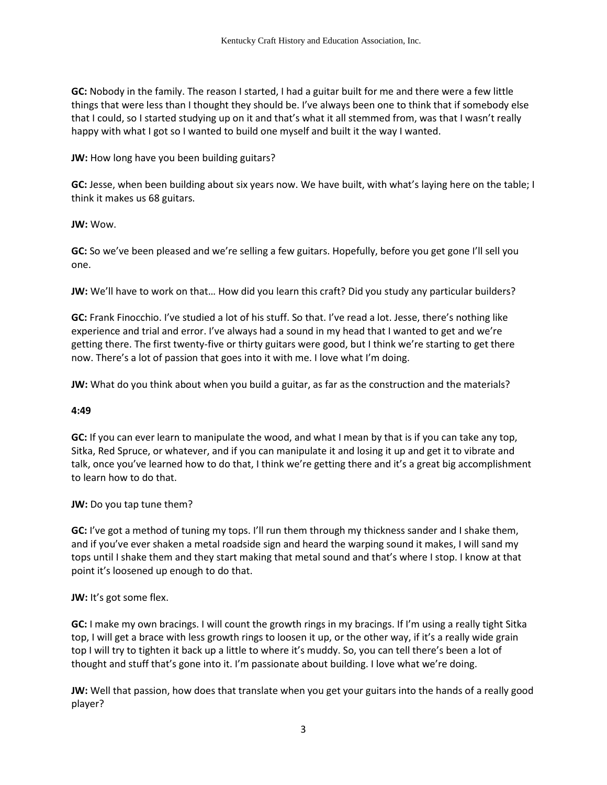**GC:** Nobody in the family. The reason I started, I had a guitar built for me and there were a few little things that were less than I thought they should be. I've always been one to think that if somebody else that I could, so I started studying up on it and that's what it all stemmed from, was that I wasn't really happy with what I got so I wanted to build one myself and built it the way I wanted.

**JW:** How long have you been building guitars?

**GC:** Jesse, when been building about six years now. We have built, with what's laying here on the table; I think it makes us 68 guitars.

**JW:** Wow.

**GC:** So we've been pleased and we're selling a few guitars. Hopefully, before you get gone I'll sell you one.

**JW:** We'll have to work on that… How did you learn this craft? Did you study any particular builders?

**GC:** Frank Finocchio. I've studied a lot of his stuff. So that. I've read a lot. Jesse, there's nothing like experience and trial and error. I've always had a sound in my head that I wanted to get and we're getting there. The first twenty-five or thirty guitars were good, but I think we're starting to get there now. There's a lot of passion that goes into it with me. I love what I'm doing.

**JW:** What do you think about when you build a guitar, as far as the construction and the materials?

### **4:49**

**GC:** If you can ever learn to manipulate the wood, and what I mean by that is if you can take any top, Sitka, Red Spruce, or whatever, and if you can manipulate it and losing it up and get it to vibrate and talk, once you've learned how to do that, I think we're getting there and it's a great big accomplishment to learn how to do that.

**JW:** Do you tap tune them?

**GC:** I've got a method of tuning my tops. I'll run them through my thickness sander and I shake them, and if you've ever shaken a metal roadside sign and heard the warping sound it makes, I will sand my tops until I shake them and they start making that metal sound and that's where I stop. I know at that point it's loosened up enough to do that.

### **JW:** It's got some flex.

**GC:** I make my own bracings. I will count the growth rings in my bracings. If I'm using a really tight Sitka top, I will get a brace with less growth rings to loosen it up, or the other way, if it's a really wide grain top I will try to tighten it back up a little to where it's muddy. So, you can tell there's been a lot of thought and stuff that's gone into it. I'm passionate about building. I love what we're doing.

**JW:** Well that passion, how does that translate when you get your guitars into the hands of a really good player?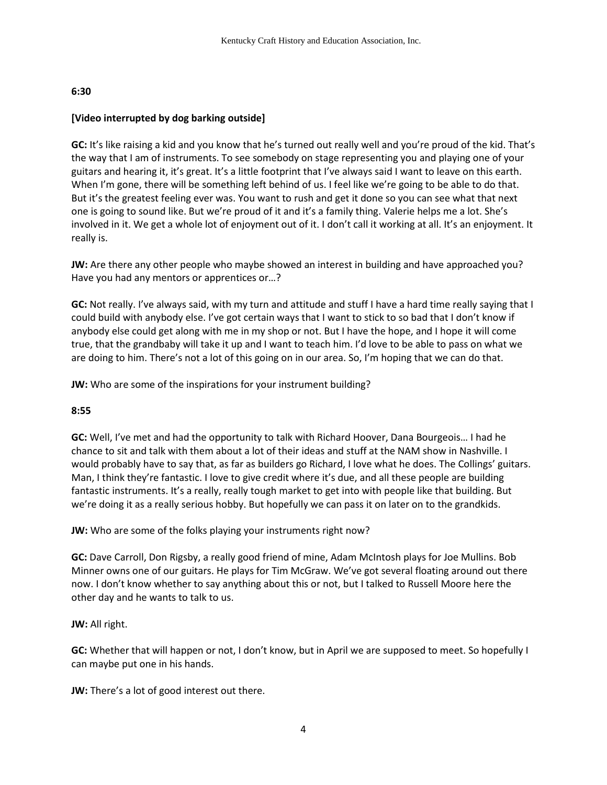### **[Video interrupted by dog barking outside]**

**GC:** It's like raising a kid and you know that he's turned out really well and you're proud of the kid. That's the way that I am of instruments. To see somebody on stage representing you and playing one of your guitars and hearing it, it's great. It's a little footprint that I've always said I want to leave on this earth. When I'm gone, there will be something left behind of us. I feel like we're going to be able to do that. But it's the greatest feeling ever was. You want to rush and get it done so you can see what that next one is going to sound like. But we're proud of it and it's a family thing. Valerie helps me a lot. She's involved in it. We get a whole lot of enjoyment out of it. I don't call it working at all. It's an enjoyment. It really is.

**JW:** Are there any other people who maybe showed an interest in building and have approached you? Have you had any mentors or apprentices or…?

**GC:** Not really. I've always said, with my turn and attitude and stuff I have a hard time really saying that I could build with anybody else. I've got certain ways that I want to stick to so bad that I don't know if anybody else could get along with me in my shop or not. But I have the hope, and I hope it will come true, that the grandbaby will take it up and I want to teach him. I'd love to be able to pass on what we are doing to him. There's not a lot of this going on in our area. So, I'm hoping that we can do that.

**JW:** Who are some of the inspirations for your instrument building?

### **8:55**

**GC:** Well, I've met and had the opportunity to talk with Richard Hoover, Dana Bourgeois… I had he chance to sit and talk with them about a lot of their ideas and stuff at the NAM show in Nashville. I would probably have to say that, as far as builders go Richard, I love what he does. The Collings' guitars. Man, I think they're fantastic. I love to give credit where it's due, and all these people are building fantastic instruments. It's a really, really tough market to get into with people like that building. But we're doing it as a really serious hobby. But hopefully we can pass it on later on to the grandkids.

**JW:** Who are some of the folks playing your instruments right now?

**GC:** Dave Carroll, Don Rigsby, a really good friend of mine, Adam McIntosh plays for Joe Mullins. Bob Minner owns one of our guitars. He plays for Tim McGraw. We've got several floating around out there now. I don't know whether to say anything about this or not, but I talked to Russell Moore here the other day and he wants to talk to us.

**JW:** All right.

**GC:** Whether that will happen or not, I don't know, but in April we are supposed to meet. So hopefully I can maybe put one in his hands.

**JW:** There's a lot of good interest out there.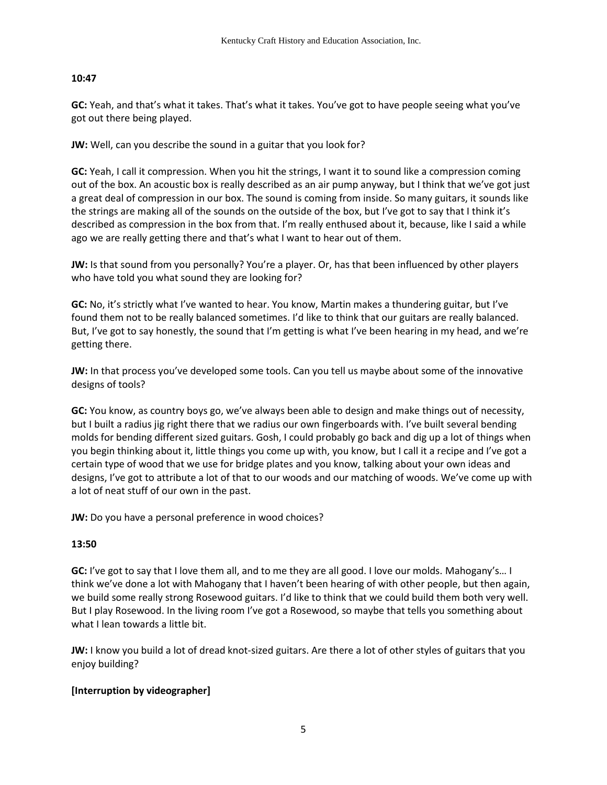**GC:** Yeah, and that's what it takes. That's what it takes. You've got to have people seeing what you've got out there being played.

**JW:** Well, can you describe the sound in a guitar that you look for?

**GC:** Yeah, I call it compression. When you hit the strings, I want it to sound like a compression coming out of the box. An acoustic box is really described as an air pump anyway, but I think that we've got just a great deal of compression in our box. The sound is coming from inside. So many guitars, it sounds like the strings are making all of the sounds on the outside of the box, but I've got to say that I think it's described as compression in the box from that. I'm really enthused about it, because, like I said a while ago we are really getting there and that's what I want to hear out of them.

**JW:** Is that sound from you personally? You're a player. Or, has that been influenced by other players who have told you what sound they are looking for?

**GC:** No, it's strictly what I've wanted to hear. You know, Martin makes a thundering guitar, but I've found them not to be really balanced sometimes. I'd like to think that our guitars are really balanced. But, I've got to say honestly, the sound that I'm getting is what I've been hearing in my head, and we're getting there.

**JW:** In that process you've developed some tools. Can you tell us maybe about some of the innovative designs of tools?

**GC:** You know, as country boys go, we've always been able to design and make things out of necessity, but I built a radius jig right there that we radius our own fingerboards with. I've built several bending molds for bending different sized guitars. Gosh, I could probably go back and dig up a lot of things when you begin thinking about it, little things you come up with, you know, but I call it a recipe and I've got a certain type of wood that we use for bridge plates and you know, talking about your own ideas and designs, I've got to attribute a lot of that to our woods and our matching of woods. We've come up with a lot of neat stuff of our own in the past.

**JW:** Do you have a personal preference in wood choices?

# **13:50**

**GC:** I've got to say that I love them all, and to me they are all good. I love our molds. Mahogany's… I think we've done a lot with Mahogany that I haven't been hearing of with other people, but then again, we build some really strong Rosewood guitars. I'd like to think that we could build them both very well. But I play Rosewood. In the living room I've got a Rosewood, so maybe that tells you something about what I lean towards a little bit.

**JW:** I know you build a lot of dread knot-sized guitars. Are there a lot of other styles of guitars that you enjoy building?

# **[Interruption by videographer]**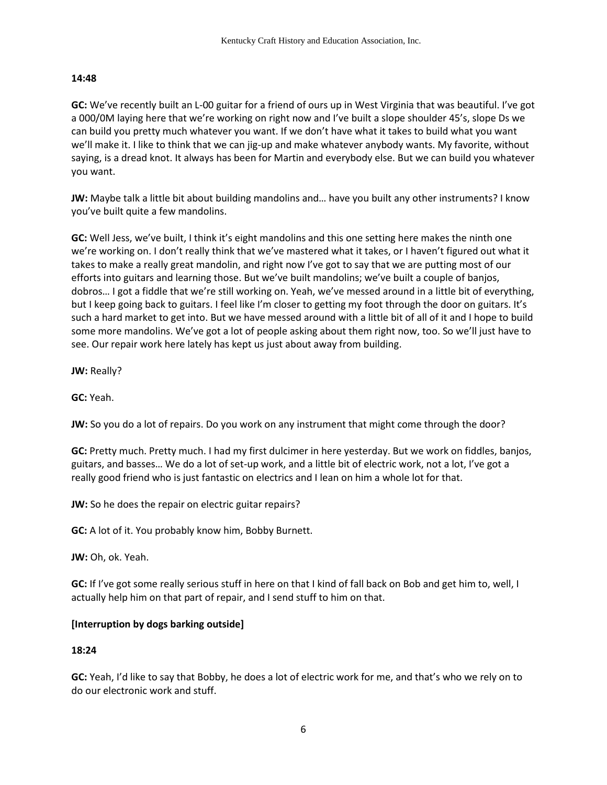**GC:** We've recently built an L-00 guitar for a friend of ours up in West Virginia that was beautiful. I've got a 000/0M laying here that we're working on right now and I've built a slope shoulder 45's, slope Ds we can build you pretty much whatever you want. If we don't have what it takes to build what you want we'll make it. I like to think that we can jig-up and make whatever anybody wants. My favorite, without saying, is a dread knot. It always has been for Martin and everybody else. But we can build you whatever you want.

**JW:** Maybe talk a little bit about building mandolins and… have you built any other instruments? I know you've built quite a few mandolins.

**GC:** Well Jess, we've built, I think it's eight mandolins and this one setting here makes the ninth one we're working on. I don't really think that we've mastered what it takes, or I haven't figured out what it takes to make a really great mandolin, and right now I've got to say that we are putting most of our efforts into guitars and learning those. But we've built mandolins; we've built a couple of banjos, dobros… I got a fiddle that we're still working on. Yeah, we've messed around in a little bit of everything, but I keep going back to guitars. I feel like I'm closer to getting my foot through the door on guitars. It's such a hard market to get into. But we have messed around with a little bit of all of it and I hope to build some more mandolins. We've got a lot of people asking about them right now, too. So we'll just have to see. Our repair work here lately has kept us just about away from building.

**JW:** Really?

**GC:** Yeah.

**JW:** So you do a lot of repairs. Do you work on any instrument that might come through the door?

**GC:** Pretty much. Pretty much. I had my first dulcimer in here yesterday. But we work on fiddles, banjos, guitars, and basses… We do a lot of set-up work, and a little bit of electric work, not a lot, I've got a really good friend who is just fantastic on electrics and I lean on him a whole lot for that.

**JW:** So he does the repair on electric guitar repairs?

**GC:** A lot of it. You probably know him, Bobby Burnett.

**JW:** Oh, ok. Yeah.

**GC:** If I've got some really serious stuff in here on that I kind of fall back on Bob and get him to, well, I actually help him on that part of repair, and I send stuff to him on that.

### **[Interruption by dogs barking outside]**

### **18:24**

**GC:** Yeah, I'd like to say that Bobby, he does a lot of electric work for me, and that's who we rely on to do our electronic work and stuff.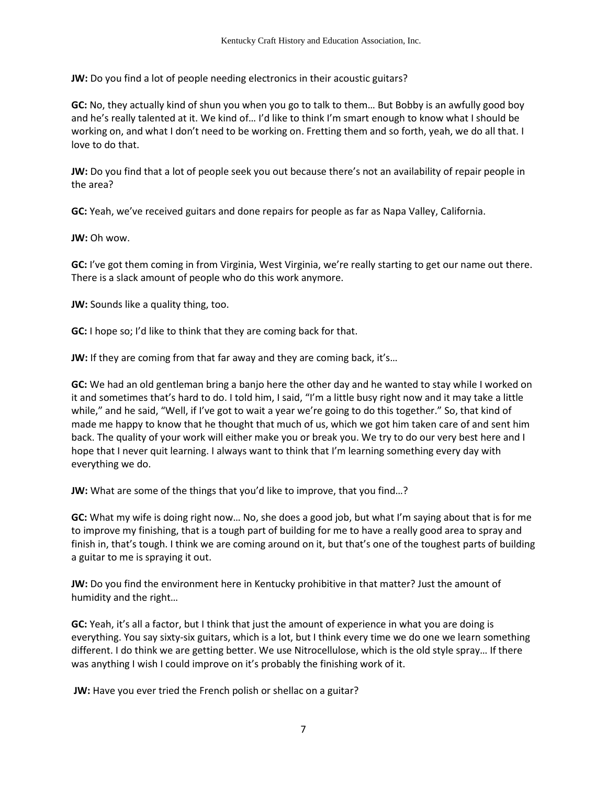**JW:** Do you find a lot of people needing electronics in their acoustic guitars?

**GC:** No, they actually kind of shun you when you go to talk to them… But Bobby is an awfully good boy and he's really talented at it. We kind of… I'd like to think I'm smart enough to know what I should be working on, and what I don't need to be working on. Fretting them and so forth, yeah, we do all that. I love to do that.

**JW:** Do you find that a lot of people seek you out because there's not an availability of repair people in the area?

**GC:** Yeah, we've received guitars and done repairs for people as far as Napa Valley, California.

**JW:** Oh wow.

**GC:** I've got them coming in from Virginia, West Virginia, we're really starting to get our name out there. There is a slack amount of people who do this work anymore.

**JW:** Sounds like a quality thing, too.

**GC:** I hope so; I'd like to think that they are coming back for that.

**JW:** If they are coming from that far away and they are coming back, it's...

**GC:** We had an old gentleman bring a banjo here the other day and he wanted to stay while I worked on it and sometimes that's hard to do. I told him, I said, "I'm a little busy right now and it may take a little while," and he said, "Well, if I've got to wait a year we're going to do this together." So, that kind of made me happy to know that he thought that much of us, which we got him taken care of and sent him back. The quality of your work will either make you or break you. We try to do our very best here and I hope that I never quit learning. I always want to think that I'm learning something every day with everything we do.

**JW:** What are some of the things that you'd like to improve, that you find…?

**GC:** What my wife is doing right now… No, she does a good job, but what I'm saying about that is for me to improve my finishing, that is a tough part of building for me to have a really good area to spray and finish in, that's tough. I think we are coming around on it, but that's one of the toughest parts of building a guitar to me is spraying it out.

**JW:** Do you find the environment here in Kentucky prohibitive in that matter? Just the amount of humidity and the right…

**GC:** Yeah, it's all a factor, but I think that just the amount of experience in what you are doing is everything. You say sixty-six guitars, which is a lot, but I think every time we do one we learn something different. I do think we are getting better. We use Nitrocellulose, which is the old style spray… If there was anything I wish I could improve on it's probably the finishing work of it.

**JW:** Have you ever tried the French polish or shellac on a guitar?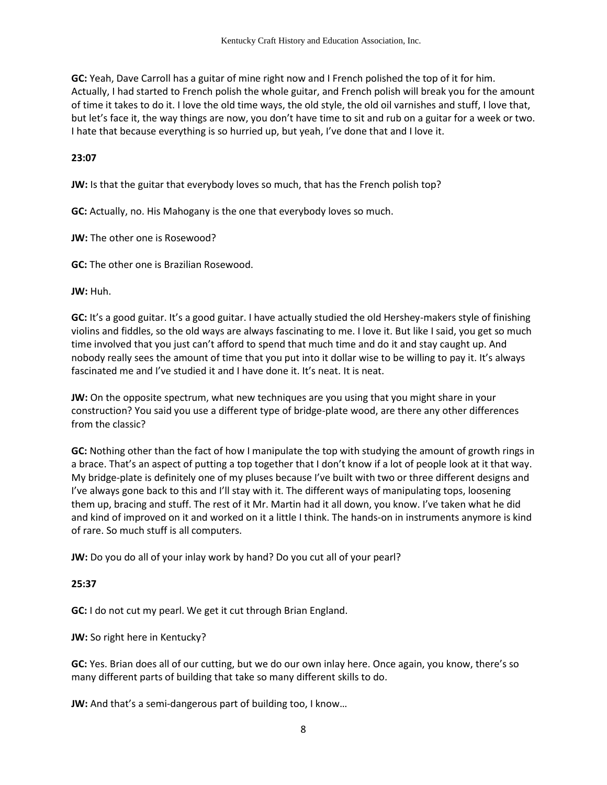**GC:** Yeah, Dave Carroll has a guitar of mine right now and I French polished the top of it for him. Actually, I had started to French polish the whole guitar, and French polish will break you for the amount of time it takes to do it. I love the old time ways, the old style, the old oil varnishes and stuff, I love that, but let's face it, the way things are now, you don't have time to sit and rub on a guitar for a week or two. I hate that because everything is so hurried up, but yeah, I've done that and I love it.

#### **23:07**

**JW:** Is that the guitar that everybody loves so much, that has the French polish top?

**GC:** Actually, no. His Mahogany is the one that everybody loves so much.

**JW:** The other one is Rosewood?

**GC:** The other one is Brazilian Rosewood.

**JW:** Huh.

**GC:** It's a good guitar. It's a good guitar. I have actually studied the old Hershey-makers style of finishing violins and fiddles, so the old ways are always fascinating to me. I love it. But like I said, you get so much time involved that you just can't afford to spend that much time and do it and stay caught up. And nobody really sees the amount of time that you put into it dollar wise to be willing to pay it. It's always fascinated me and I've studied it and I have done it. It's neat. It is neat.

**JW:** On the opposite spectrum, what new techniques are you using that you might share in your construction? You said you use a different type of bridge-plate wood, are there any other differences from the classic?

**GC:** Nothing other than the fact of how I manipulate the top with studying the amount of growth rings in a brace. That's an aspect of putting a top together that I don't know if a lot of people look at it that way. My bridge-plate is definitely one of my pluses because I've built with two or three different designs and I've always gone back to this and I'll stay with it. The different ways of manipulating tops, loosening them up, bracing and stuff. The rest of it Mr. Martin had it all down, you know. I've taken what he did and kind of improved on it and worked on it a little I think. The hands-on in instruments anymore is kind of rare. So much stuff is all computers.

**JW:** Do you do all of your inlay work by hand? Do you cut all of your pearl?

### **25:37**

**GC:** I do not cut my pearl. We get it cut through Brian England.

**JW:** So right here in Kentucky?

**GC:** Yes. Brian does all of our cutting, but we do our own inlay here. Once again, you know, there's so many different parts of building that take so many different skills to do.

**JW:** And that's a semi-dangerous part of building too, I know…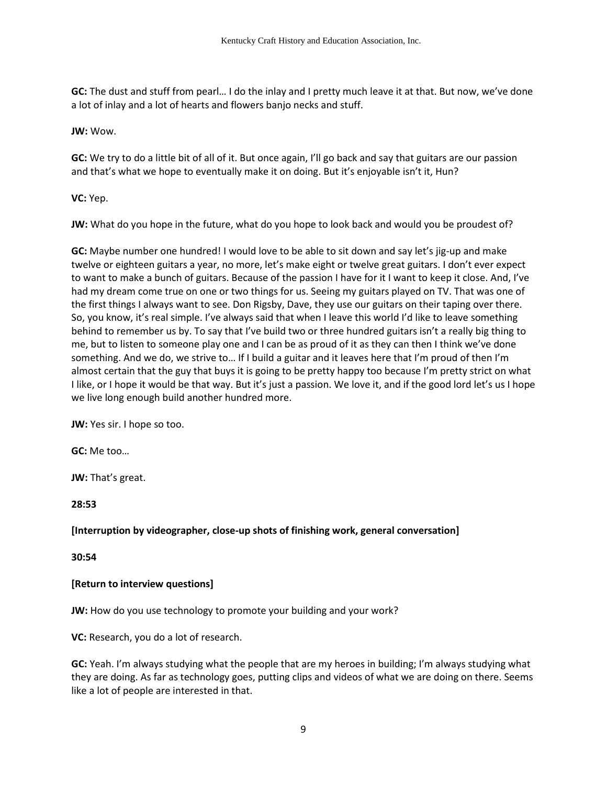**GC:** The dust and stuff from pearl… I do the inlay and I pretty much leave it at that. But now, we've done a lot of inlay and a lot of hearts and flowers banjo necks and stuff.

### **JW:** Wow.

**GC:** We try to do a little bit of all of it. But once again, I'll go back and say that guitars are our passion and that's what we hope to eventually make it on doing. But it's enjoyable isn't it, Hun?

**VC:** Yep.

**JW:** What do you hope in the future, what do you hope to look back and would you be proudest of?

**GC:** Maybe number one hundred! I would love to be able to sit down and say let's jig-up and make twelve or eighteen guitars a year, no more, let's make eight or twelve great guitars. I don't ever expect to want to make a bunch of guitars. Because of the passion I have for it I want to keep it close. And, I've had my dream come true on one or two things for us. Seeing my guitars played on TV. That was one of the first things I always want to see. Don Rigsby, Dave, they use our guitars on their taping over there. So, you know, it's real simple. I've always said that when I leave this world I'd like to leave something behind to remember us by. To say that I've build two or three hundred guitars isn't a really big thing to me, but to listen to someone play one and I can be as proud of it as they can then I think we've done something. And we do, we strive to… If I build a guitar and it leaves here that I'm proud of then I'm almost certain that the guy that buys it is going to be pretty happy too because I'm pretty strict on what I like, or I hope it would be that way. But it's just a passion. We love it, and if the good lord let's us I hope we live long enough build another hundred more.

**JW:** Yes sir. I hope so too.

**GC:** Me too…

**JW:** That's great.

**28:53**

# **[Interruption by videographer, close-up shots of finishing work, general conversation]**

**30:54** 

### **[Return to interview questions]**

**JW:** How do you use technology to promote your building and your work?

**VC:** Research, you do a lot of research.

**GC:** Yeah. I'm always studying what the people that are my heroes in building; I'm always studying what they are doing. As far as technology goes, putting clips and videos of what we are doing on there. Seems like a lot of people are interested in that.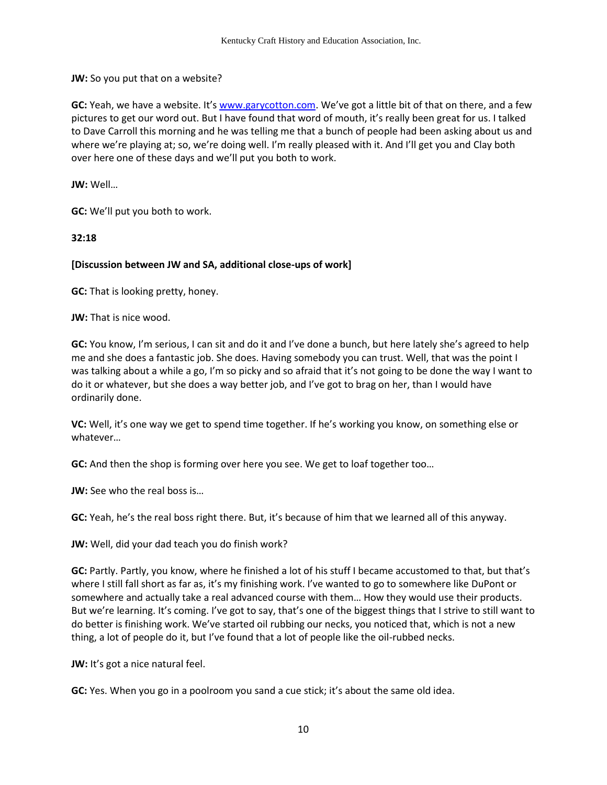**JW:** So you put that on a website?

**GC:** Yeah, we have a website. It's [www.garycotton.com](http://www.garycotton.com/). We've got a little bit of that on there, and a few pictures to get our word out. But I have found that word of mouth, it's really been great for us. I talked to Dave Carroll this morning and he was telling me that a bunch of people had been asking about us and where we're playing at; so, we're doing well. I'm really pleased with it. And I'll get you and Clay both over here one of these days and we'll put you both to work.

**JW:** Well…

**GC:** We'll put you both to work.

**32:18** 

### **[Discussion between JW and SA, additional close-ups of work]**

**GC:** That is looking pretty, honey.

**JW:** That is nice wood.

**GC:** You know, I'm serious, I can sit and do it and I've done a bunch, but here lately she's agreed to help me and she does a fantastic job. She does. Having somebody you can trust. Well, that was the point I was talking about a while a go, I'm so picky and so afraid that it's not going to be done the way I want to do it or whatever, but she does a way better job, and I've got to brag on her, than I would have ordinarily done.

**VC:** Well, it's one way we get to spend time together. If he's working you know, on something else or whatever…

**GC:** And then the shop is forming over here you see. We get to loaf together too…

**JW:** See who the real boss is...

**GC:** Yeah, he's the real boss right there. But, it's because of him that we learned all of this anyway.

**JW:** Well, did your dad teach you do finish work?

**GC:** Partly. Partly, you know, where he finished a lot of his stuff I became accustomed to that, but that's where I still fall short as far as, it's my finishing work. I've wanted to go to somewhere like DuPont or somewhere and actually take a real advanced course with them… How they would use their products. But we're learning. It's coming. I've got to say, that's one of the biggest things that I strive to still want to do better is finishing work. We've started oil rubbing our necks, you noticed that, which is not a new thing, a lot of people do it, but I've found that a lot of people like the oil-rubbed necks.

**JW:** It's got a nice natural feel.

**GC:** Yes. When you go in a poolroom you sand a cue stick; it's about the same old idea.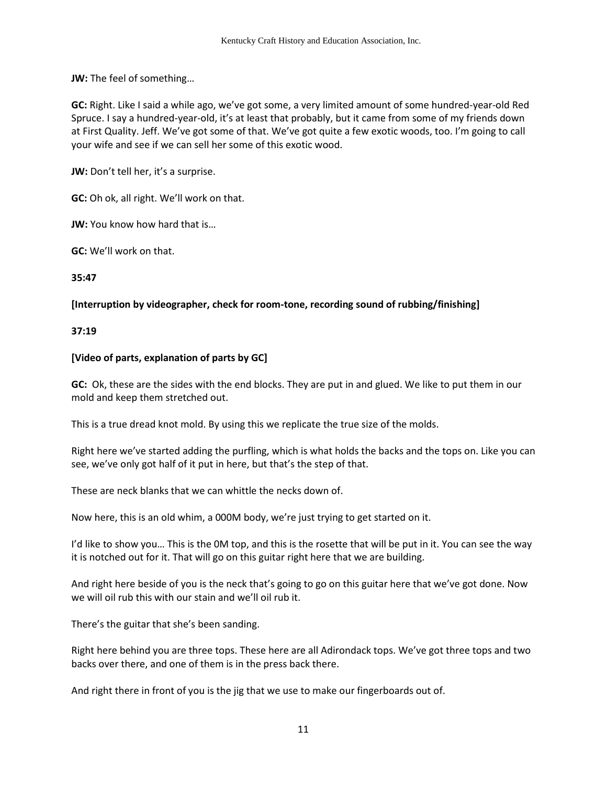**JW:** The feel of something…

**GC:** Right. Like I said a while ago, we've got some, a very limited amount of some hundred-year-old Red Spruce. I say a hundred-year-old, it's at least that probably, but it came from some of my friends down at First Quality. Jeff. We've got some of that. We've got quite a few exotic woods, too. I'm going to call your wife and see if we can sell her some of this exotic wood.

**JW:** Don't tell her, it's a surprise.

**GC:** Oh ok, all right. We'll work on that.

**JW:** You know how hard that is...

**GC:** We'll work on that.

**35:47**

## **[Interruption by videographer, check for room-tone, recording sound of rubbing/finishing]**

### **37:19**

## **[Video of parts, explanation of parts by GC]**

**GC:** Ok, these are the sides with the end blocks. They are put in and glued. We like to put them in our mold and keep them stretched out.

This is a true dread knot mold. By using this we replicate the true size of the molds.

Right here we've started adding the purfling, which is what holds the backs and the tops on. Like you can see, we've only got half of it put in here, but that's the step of that.

These are neck blanks that we can whittle the necks down of.

Now here, this is an old whim, a 000M body, we're just trying to get started on it.

I'd like to show you… This is the 0M top, and this is the rosette that will be put in it. You can see the way it is notched out for it. That will go on this guitar right here that we are building.

And right here beside of you is the neck that's going to go on this guitar here that we've got done. Now we will oil rub this with our stain and we'll oil rub it.

There's the guitar that she's been sanding.

Right here behind you are three tops. These here are all Adirondack tops. We've got three tops and two backs over there, and one of them is in the press back there.

And right there in front of you is the jig that we use to make our fingerboards out of.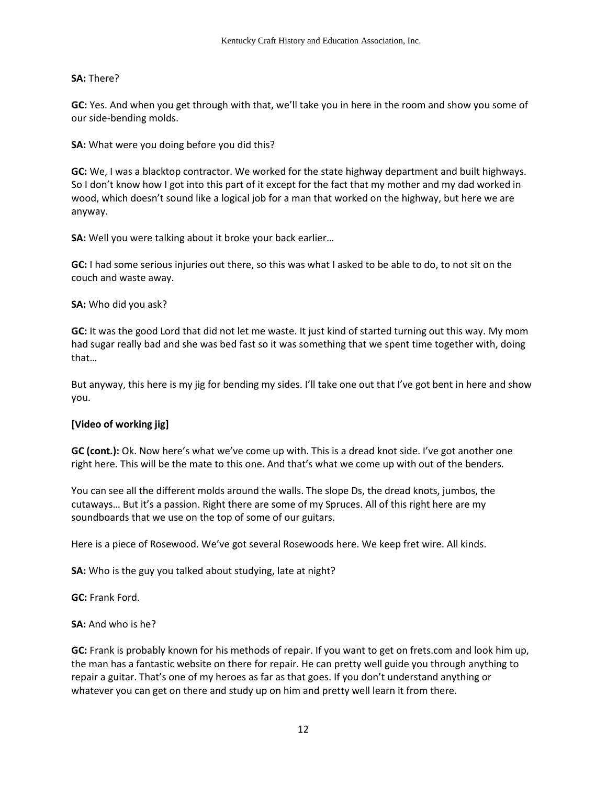## **SA:** There?

**GC:** Yes. And when you get through with that, we'll take you in here in the room and show you some of our side-bending molds.

**SA:** What were you doing before you did this?

**GC:** We, I was a blacktop contractor. We worked for the state highway department and built highways. So I don't know how I got into this part of it except for the fact that my mother and my dad worked in wood, which doesn't sound like a logical job for a man that worked on the highway, but here we are anyway.

**SA:** Well you were talking about it broke your back earlier…

**GC:** I had some serious injuries out there, so this was what I asked to be able to do, to not sit on the couch and waste away.

**SA:** Who did you ask?

**GC:** It was the good Lord that did not let me waste. It just kind of started turning out this way. My mom had sugar really bad and she was bed fast so it was something that we spent time together with, doing that…

But anyway, this here is my jig for bending my sides. I'll take one out that I've got bent in here and show you.

### **[Video of working jig]**

**GC (cont.):** Ok. Now here's what we've come up with. This is a dread knot side. I've got another one right here. This will be the mate to this one. And that's what we come up with out of the benders.

You can see all the different molds around the walls. The slope Ds, the dread knots, jumbos, the cutaways… But it's a passion. Right there are some of my Spruces. All of this right here are my soundboards that we use on the top of some of our guitars.

Here is a piece of Rosewood. We've got several Rosewoods here. We keep fret wire. All kinds.

**SA:** Who is the guy you talked about studying, late at night?

**GC:** Frank Ford.

**SA:** And who is he?

**GC:** Frank is probably known for his methods of repair. If you want to get on frets.com and look him up, the man has a fantastic website on there for repair. He can pretty well guide you through anything to repair a guitar. That's one of my heroes as far as that goes. If you don't understand anything or whatever you can get on there and study up on him and pretty well learn it from there.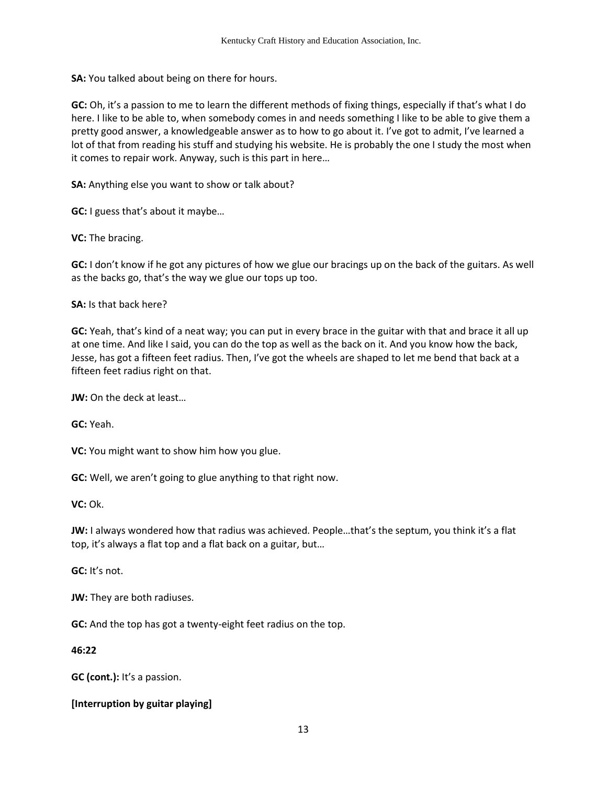**SA:** You talked about being on there for hours.

**GC:** Oh, it's a passion to me to learn the different methods of fixing things, especially if that's what I do here. I like to be able to, when somebody comes in and needs something I like to be able to give them a pretty good answer, a knowledgeable answer as to how to go about it. I've got to admit, I've learned a lot of that from reading his stuff and studying his website. He is probably the one I study the most when it comes to repair work. Anyway, such is this part in here…

**SA:** Anything else you want to show or talk about?

**GC:** I guess that's about it maybe...

**VC:** The bracing.

**GC:** I don't know if he got any pictures of how we glue our bracings up on the back of the guitars. As well as the backs go, that's the way we glue our tops up too.

**SA:** Is that back here?

**GC:** Yeah, that's kind of a neat way; you can put in every brace in the guitar with that and brace it all up at one time. And like I said, you can do the top as well as the back on it. And you know how the back, Jesse, has got a fifteen feet radius. Then, I've got the wheels are shaped to let me bend that back at a fifteen feet radius right on that.

**JW:** On the deck at least…

**GC:** Yeah.

**VC:** You might want to show him how you glue.

**GC:** Well, we aren't going to glue anything to that right now.

**VC:** Ok.

**JW:** I always wondered how that radius was achieved. People…that's the septum, you think it's a flat top, it's always a flat top and a flat back on a guitar, but...

**GC:** It's not.

**JW:** They are both radiuses.

**GC:** And the top has got a twenty-eight feet radius on the top.

**46:22**

**GC (cont.):** It's a passion.

**[Interruption by guitar playing]**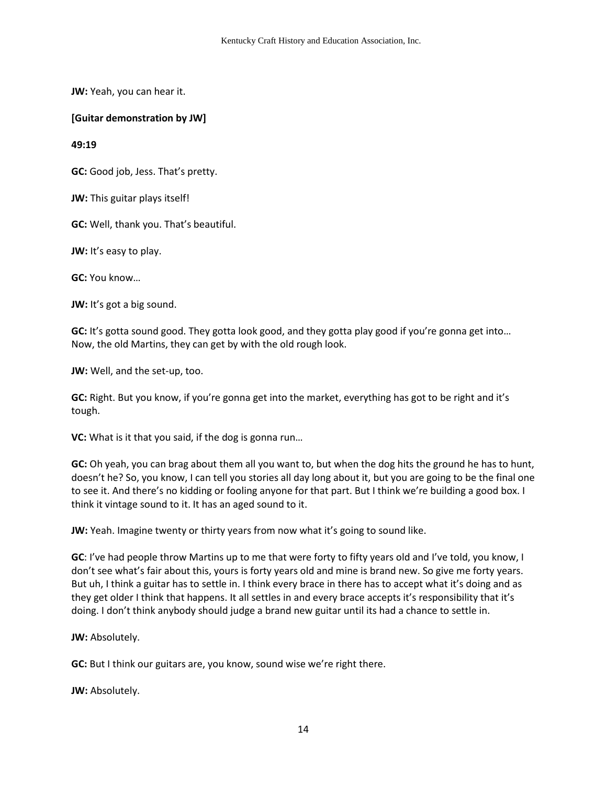**JW:** Yeah, you can hear it.

**[Guitar demonstration by JW]** 

**49:19** 

**GC:** Good job, Jess. That's pretty.

**JW:** This guitar plays itself!

**GC:** Well, thank you. That's beautiful.

**JW:** It's easy to play.

**GC:** You know…

**JW:** It's got a big sound.

**GC:** It's gotta sound good. They gotta look good, and they gotta play good if you're gonna get into… Now, the old Martins, they can get by with the old rough look.

**JW:** Well, and the set-up, too.

**GC:** Right. But you know, if you're gonna get into the market, everything has got to be right and it's tough.

**VC:** What is it that you said, if the dog is gonna run…

**GC:** Oh yeah, you can brag about them all you want to, but when the dog hits the ground he has to hunt, doesn't he? So, you know, I can tell you stories all day long about it, but you are going to be the final one to see it. And there's no kidding or fooling anyone for that part. But I think we're building a good box. I think it vintage sound to it. It has an aged sound to it.

**JW:** Yeah. Imagine twenty or thirty years from now what it's going to sound like.

**GC**: I've had people throw Martins up to me that were forty to fifty years old and I've told, you know, I don't see what's fair about this, yours is forty years old and mine is brand new. So give me forty years. But uh, I think a guitar has to settle in. I think every brace in there has to accept what it's doing and as they get older I think that happens. It all settles in and every brace accepts it's responsibility that it's doing. I don't think anybody should judge a brand new guitar until its had a chance to settle in.

**JW:** Absolutely.

**GC:** But I think our guitars are, you know, sound wise we're right there.

**JW:** Absolutely.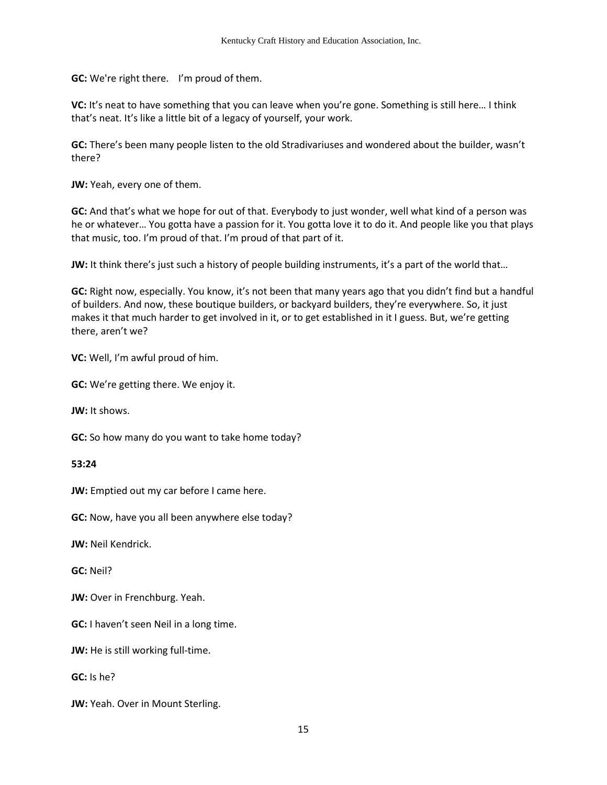**GC:** We're right there. I'm proud of them.

VC: It's neat to have something that you can leave when you're gone. Something is still here... I think that's neat. It's like a little bit of a legacy of yourself, your work.

**GC:** There's been many people listen to the old Stradivariuses and wondered about the builder, wasn't there?

**JW:** Yeah, every one of them.

**GC:** And that's what we hope for out of that. Everybody to just wonder, well what kind of a person was he or whatever… You gotta have a passion for it. You gotta love it to do it. And people like you that plays that music, too. I'm proud of that. I'm proud of that part of it.

**JW:** It think there's just such a history of people building instruments, it's a part of the world that...

**GC:** Right now, especially. You know, it's not been that many years ago that you didn't find but a handful of builders. And now, these boutique builders, or backyard builders, they're everywhere. So, it just makes it that much harder to get involved in it, or to get established in it I guess. But, we're getting there, aren't we?

**VC:** Well, I'm awful proud of him.

**GC:** We're getting there. We enjoy it.

**JW:** It shows.

**GC:** So how many do you want to take home today?

#### **53:24**

**JW:** Emptied out my car before I came here.

**GC:** Now, have you all been anywhere else today?

**JW:** Neil Kendrick.

**GC:** Neil?

**JW:** Over in Frenchburg. Yeah.

**GC:** I haven't seen Neil in a long time.

**JW:** He is still working full-time.

**GC:** Is he?

**JW:** Yeah. Over in Mount Sterling.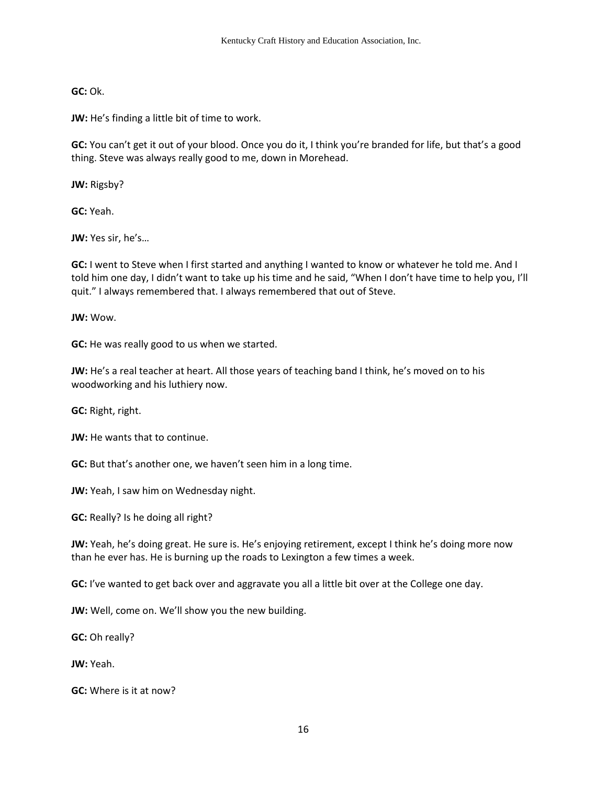**GC:** Ok.

**JW:** He's finding a little bit of time to work.

**GC:** You can't get it out of your blood. Once you do it, I think you're branded for life, but that's a good thing. Steve was always really good to me, down in Morehead.

**JW:** Rigsby?

**GC:** Yeah.

**JW:** Yes sir, he's…

**GC:** I went to Steve when I first started and anything I wanted to know or whatever he told me. And I told him one day, I didn't want to take up his time and he said, "When I don't have time to help you, I'll quit." I always remembered that. I always remembered that out of Steve.

**JW:** Wow.

**GC:** He was really good to us when we started.

**JW:** He's a real teacher at heart. All those years of teaching band I think, he's moved on to his woodworking and his luthiery now.

**GC:** Right, right.

**JW:** He wants that to continue.

**GC:** But that's another one, we haven't seen him in a long time.

**JW:** Yeah, I saw him on Wednesday night.

**GC:** Really? Is he doing all right?

**JW:** Yeah, he's doing great. He sure is. He's enjoying retirement, except I think he's doing more now than he ever has. He is burning up the roads to Lexington a few times a week.

**GC:** I've wanted to get back over and aggravate you all a little bit over at the College one day.

**JW:** Well, come on. We'll show you the new building.

**GC:** Oh really?

**JW:** Yeah.

**GC:** Where is it at now?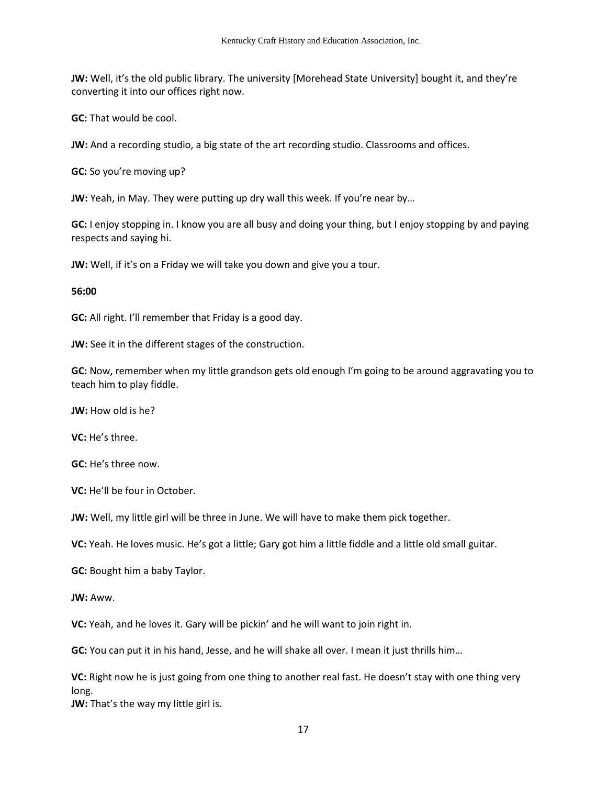**JW:** Well, it's the old public library. The university [Morehead State University] bought it, and they're converting it into our offices right now.

**GC:** That would be cool.

**JW:** And a recording studio, a big state of the art recording studio. Classrooms and offices.

**GC:** So you're moving up?

**JW:** Yeah, in May. They were putting up dry wall this week. If you're near by…

**GC:** I enjoy stopping in. I know you are all busy and doing your thing, but I enjoy stopping by and paying respects and saying hi.

**JW:** Well, if it's on a Friday we will take you down and give you a tour.

#### **56:00**

**GC:** All right. I'll remember that Friday is a good day.

**JW:** See it in the different stages of the construction.

**GC:** Now, remember when my little grandson gets old enough I'm going to be around aggravating you to teach him to play fiddle.

**JW:** How old is he?

**VC:** He's three.

**GC:** He's three now.

**VC:** He'll be four in October.

**JW:** Well, my little girl will be three in June. We will have to make them pick together.

**VC:** Yeah. He loves music. He's got a little; Gary got him a little fiddle and a little old small guitar.

**GC:** Bought him a baby Taylor.

**JW:** Aww.

**VC:** Yeah, and he loves it. Gary will be pickin' and he will want to join right in.

**GC:** You can put it in his hand, Jesse, and he will shake all over. I mean it just thrills him…

**VC:** Right now he is just going from one thing to another real fast. He doesn't stay with one thing very long.

**JW:** That's the way my little girl is.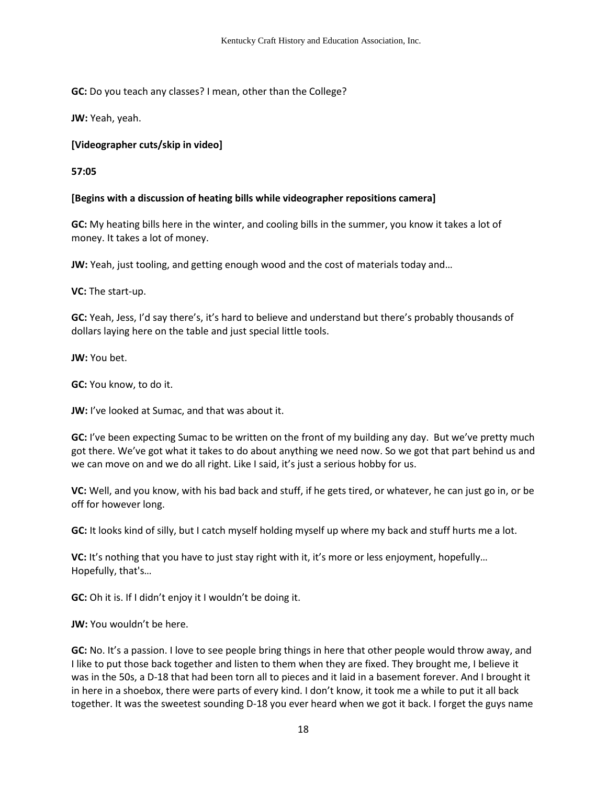**GC:** Do you teach any classes? I mean, other than the College?

**JW:** Yeah, yeah.

## **[Videographer cuts/skip in video]**

**57:05**

## **[Begins with a discussion of heating bills while videographer repositions camera]**

**GC:** My heating bills here in the winter, and cooling bills in the summer, you know it takes a lot of money. It takes a lot of money.

**JW:** Yeah, just tooling, and getting enough wood and the cost of materials today and…

**VC:** The start-up.

**GC:** Yeah, Jess, I'd say there's, it's hard to believe and understand but there's probably thousands of dollars laying here on the table and just special little tools.

**JW:** You bet.

**GC:** You know, to do it.

**JW:** I've looked at Sumac, and that was about it.

**GC:** I've been expecting Sumac to be written on the front of my building any day. But we've pretty much got there. We've got what it takes to do about anything we need now. So we got that part behind us and we can move on and we do all right. Like I said, it's just a serious hobby for us.

**VC:** Well, and you know, with his bad back and stuff, if he gets tired, or whatever, he can just go in, or be off for however long.

**GC:** It looks kind of silly, but I catch myself holding myself up where my back and stuff hurts me a lot.

**VC:** It's nothing that you have to just stay right with it, it's more or less enjoyment, hopefully… Hopefully, that's…

**GC:** Oh it is. If I didn't enjoy it I wouldn't be doing it.

**JW:** You wouldn't be here.

**GC:** No. It's a passion. I love to see people bring things in here that other people would throw away, and I like to put those back together and listen to them when they are fixed. They brought me, I believe it was in the 50s, a D-18 that had been torn all to pieces and it laid in a basement forever. And I brought it in here in a shoebox, there were parts of every kind. I don't know, it took me a while to put it all back together. It was the sweetest sounding D-18 you ever heard when we got it back. I forget the guys name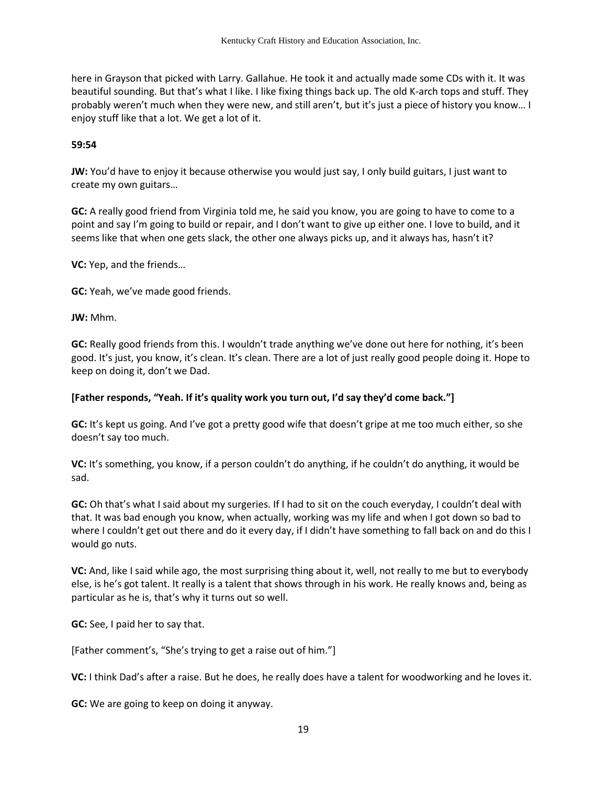here in Grayson that picked with Larry. Gallahue. He took it and actually made some CDs with it. It was beautiful sounding. But that's what I like. I like fixing things back up. The old K-arch tops and stuff. They probably weren't much when they were new, and still aren't, but it's just a piece of history you know… I enjoy stuff like that a lot. We get a lot of it.

#### **59:54**

**JW:** You'd have to enjoy it because otherwise you would just say, I only build guitars, I just want to create my own guitars…

**GC:** A really good friend from Virginia told me, he said you know, you are going to have to come to a point and say I'm going to build or repair, and I don't want to give up either one. I love to build, and it seems like that when one gets slack, the other one always picks up, and it always has, hasn't it?

**VC:** Yep, and the friends…

**GC:** Yeah, we've made good friends.

**JW:** Mhm.

**GC:** Really good friends from this. I wouldn't trade anything we've done out here for nothing, it's been good. It's just, you know, it's clean. It's clean. There are a lot of just really good people doing it. Hope to keep on doing it, don't we Dad.

### **[Father responds, "Yeah. If it's quality work you turn out, I'd say they'd come back."]**

**GC:** It's kept us going. And I've got a pretty good wife that doesn't gripe at me too much either, so she doesn't say too much.

**VC:** It's something, you know, if a person couldn't do anything, if he couldn't do anything, it would be sad.

**GC:** Oh that's what I said about my surgeries. If I had to sit on the couch everyday, I couldn't deal with that. It was bad enough you know, when actually, working was my life and when I got down so bad to where I couldn't get out there and do it every day, if I didn't have something to fall back on and do this I would go nuts.

**VC:** And, like I said while ago, the most surprising thing about it, well, not really to me but to everybody else, is he's got talent. It really is a talent that shows through in his work. He really knows and, being as particular as he is, that's why it turns out so well.

**GC:** See, I paid her to say that.

[Father comment's, "She's trying to get a raise out of him."]

**VC:** I think Dad's after a raise. But he does, he really does have a talent for woodworking and he loves it.

**GC:** We are going to keep on doing it anyway.